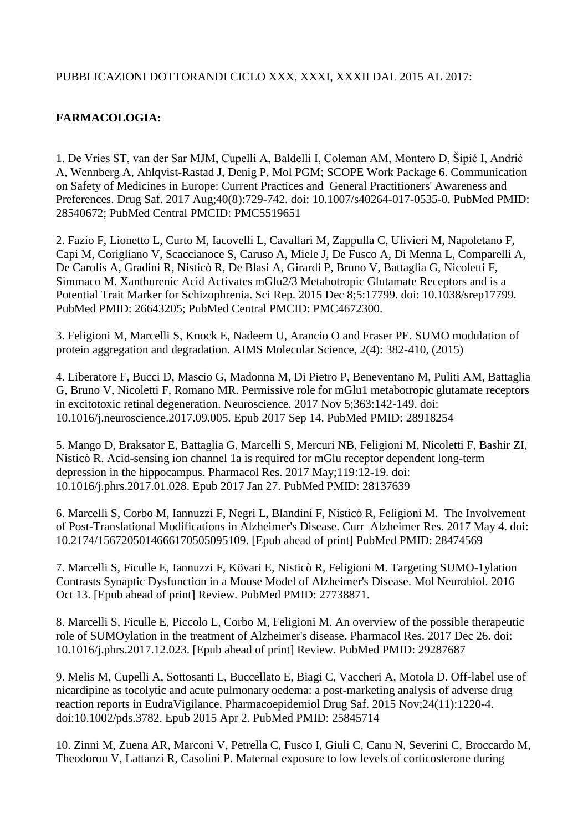## PUBBLICAZIONI DOTTORANDI CICLO XXX, XXXI, XXXII DAL 2015 AL 2017:

## **FARMACOLOGIA:**

1. De Vries ST, van der Sar MJM, Cupelli A, Baldelli I, Coleman AM, Montero D, Šipić I, Andrić A, Wennberg A, Ahlqvist-Rastad J, Denig P, Mol PGM; SCOPE Work Package 6. Communication on Safety of Medicines in Europe: Current Practices and General Practitioners' Awareness and Preferences. Drug Saf. 2017 Aug;40(8):729-742. doi: 10.1007/s40264-017-0535-0. PubMed PMID: 28540672; PubMed Central PMCID: PMC5519651

2. Fazio F, Lionetto L, Curto M, Iacovelli L, Cavallari M, Zappulla C, Ulivieri M, Napoletano F, Capi M, Corigliano V, Scaccianoce S, Caruso A, Miele J, De Fusco A, Di Menna L, Comparelli A, De Carolis A, Gradini R, Nisticò R, De Blasi A, Girardi P, Bruno V, Battaglia G, Nicoletti F, Simmaco M. Xanthurenic Acid Activates mGlu2/3 Metabotropic Glutamate Receptors and is a Potential Trait Marker for Schizophrenia. Sci Rep. 2015 Dec 8;5:17799. doi: 10.1038/srep17799. PubMed PMID: 26643205; PubMed Central PMCID: PMC4672300.

3. Feligioni M, Marcelli S, Knock E, Nadeem U, Arancio O and Fraser PE. SUMO modulation of protein aggregation and degradation. AIMS Molecular Science, 2(4): 382-410, (2015)

4. Liberatore F, Bucci D, Mascio G, Madonna M, Di Pietro P, Beneventano M, Puliti AM, Battaglia G, Bruno V, Nicoletti F, Romano MR. Permissive role for mGlu1 metabotropic glutamate receptors in excitotoxic retinal degeneration. Neuroscience. 2017 Nov 5;363:142-149. doi: 10.1016/j.neuroscience.2017.09.005. Epub 2017 Sep 14. PubMed PMID: 28918254

5. Mango D, Braksator E, Battaglia G, Marcelli S, Mercuri NB, Feligioni M, Nicoletti F, Bashir ZI, Nisticò R. Acid-sensing ion channel 1a is required for mGlu receptor dependent long-term depression in the hippocampus. Pharmacol Res. 2017 May;119:12-19. doi: 10.1016/j.phrs.2017.01.028. Epub 2017 Jan 27. PubMed PMID: 28137639

6. Marcelli S, Corbo M, Iannuzzi F, Negri L, Blandini F, Nisticò R, Feligioni M. The Involvement of Post-Translational Modifications in Alzheimer's Disease. Curr Alzheimer Res. 2017 May 4. doi: 10.2174/1567205014666170505095109. [Epub ahead of print] PubMed PMID: 28474569

7. Marcelli S, Ficulle E, Iannuzzi F, Kövari E, Nisticò R, Feligioni M. Targeting SUMO-1ylation Contrasts Synaptic Dysfunction in a Mouse Model of Alzheimer's Disease. Mol Neurobiol. 2016 Oct 13. [Epub ahead of print] Review. PubMed PMID: 27738871.

8. Marcelli S, Ficulle E, Piccolo L, Corbo M, Feligioni M. An overview of the possible therapeutic role of SUMOylation in the treatment of Alzheimer's disease. Pharmacol Res. 2017 Dec 26. doi: 10.1016/j.phrs.2017.12.023. [Epub ahead of print] Review. PubMed PMID: 29287687

9. Melis M, Cupelli A, Sottosanti L, Buccellato E, Biagi C, Vaccheri A, Motola D. Off-label use of nicardipine as tocolytic and acute pulmonary oedema: a post-marketing analysis of adverse drug reaction reports in EudraVigilance. Pharmacoepidemiol Drug Saf. 2015 Nov;24(11):1220-4. doi:10.1002/pds.3782. Epub 2015 Apr 2. PubMed PMID: 25845714

10. Zinni M, Zuena AR, Marconi V, Petrella C, Fusco I, Giuli C, Canu N, Severini C, Broccardo M, Theodorou V, Lattanzi R, Casolini P. Maternal exposure to low levels of corticosterone during